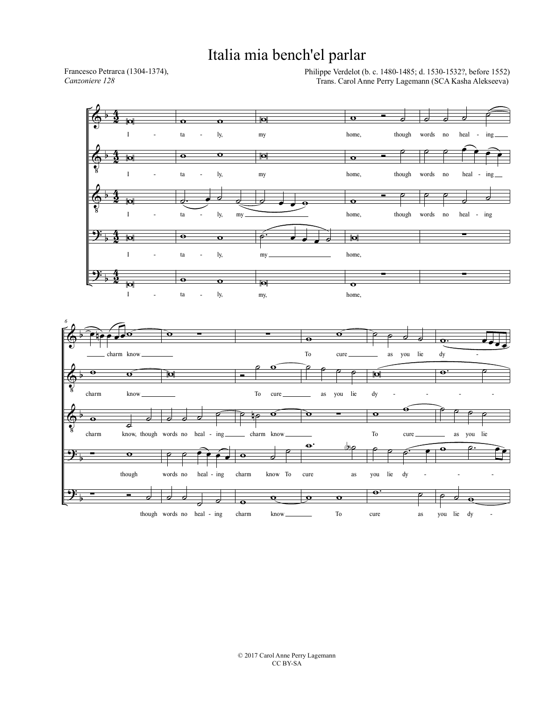## Italia mia bench'el parlar

Francesco Petrarca (1304-1374), *Canzoniere 128*

Philippe Verdelot (b. c. 1480-1485; d. 1530-1532?, before 1552) Trans. Carol Anne Perry Lagemann (SCA Kasha Alekseeva)

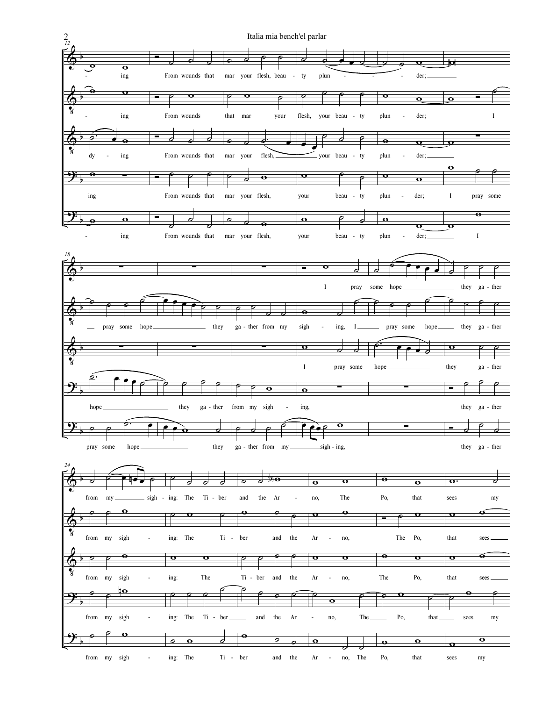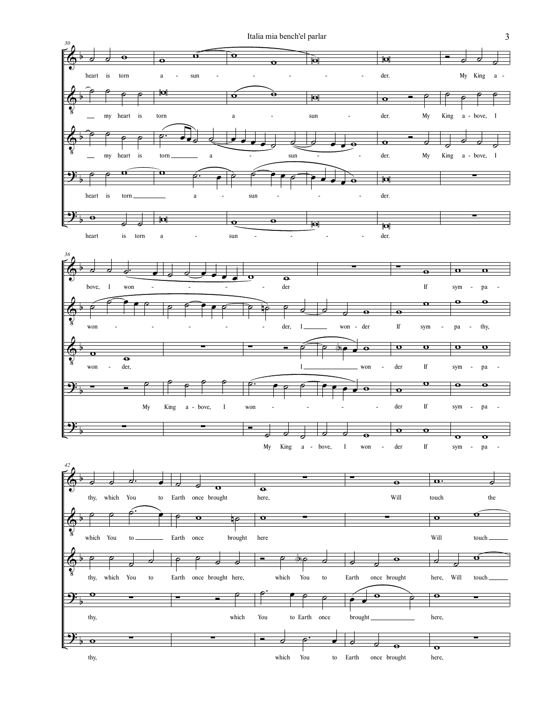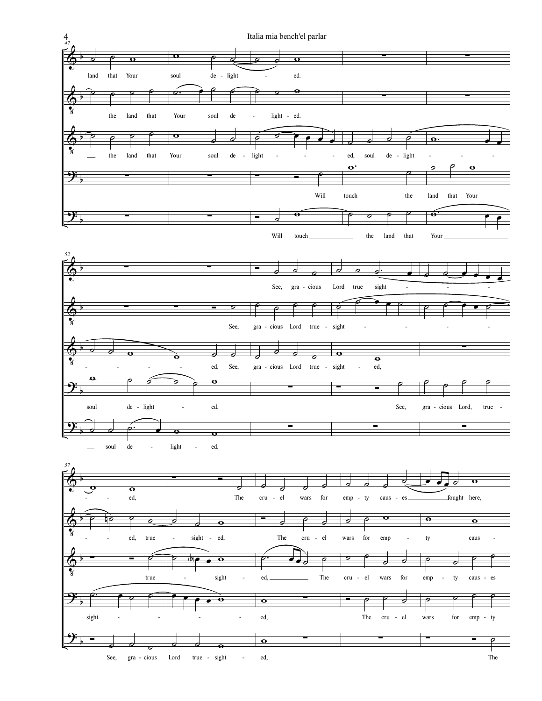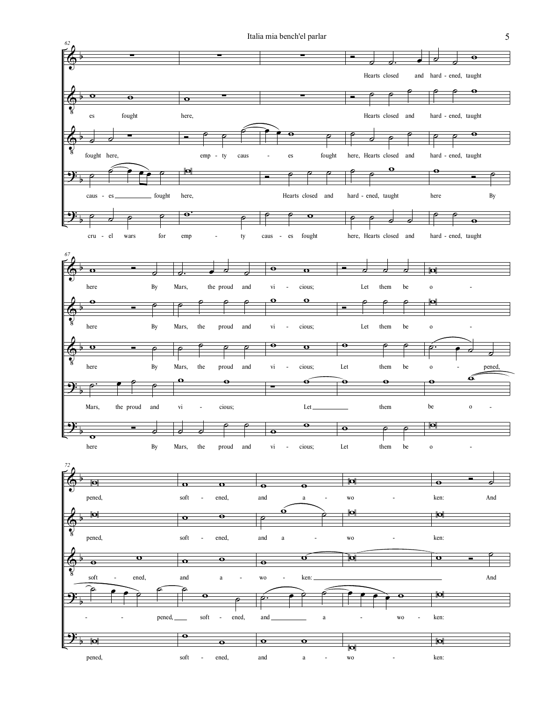